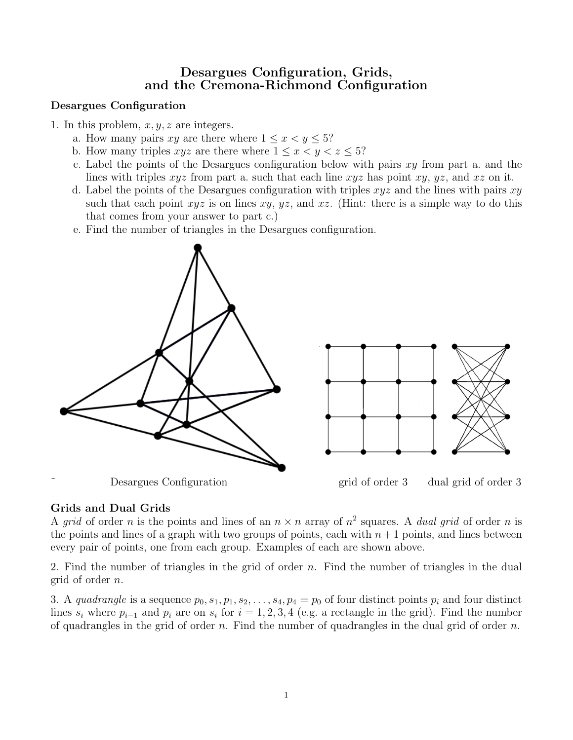# Desargues Configuration, Grids, and the Cremona-Richmond Configuration

## Desargues Configuration

1. In this problem,  $x, y, z$  are integers.

- a. How many pairs xy are there where  $1 \leq x \leq y \leq 5$ ?
- b. How many triples  $xyz$  are there where  $1 \leq x \leq y \leq z \leq 5$ ?
- c. Label the points of the Desargues configuration below with pairs  $xy$  from part a. and the lines with triples  $xyz$  from part a. such that each line  $xyz$  has point  $xy$ ,  $yz$ , and  $xz$  on it.
- d. Label the points of the Desargues configuration with triples  $xyz$  and the lines with pairs  $xy$ such that each point  $xyz$  is on lines  $xy$ ,  $yz$ , and  $xz$ . (Hint: there is a simple way to do this that comes from your answer to part c.)
- e. Find the number of triangles in the Desargues configuration.



#### Grids and Dual Grids

A grid of order n is the points and lines of an  $n \times n$  array of  $n^2$  squares. A *dual grid* of order n is the points and lines of a graph with two groups of points, each with  $n+1$  points, and lines between every pair of points, one from each group. Examples of each are shown above.

2. Find the number of triangles in the grid of order n. Find the number of triangles in the dual grid of order n.

3. A quadrangle is a sequence  $p_0, s_1, p_1, s_2, \ldots, s_4, p_4 = p_0$  of four distinct points  $p_i$  and four distinct lines  $s_i$  where  $p_{i-1}$  and  $p_i$  are on  $s_i$  for  $i = 1, 2, 3, 4$  (e.g. a rectangle in the grid). Find the number of quadrangles in the grid of order n. Find the number of quadrangles in the dual grid of order  $n$ .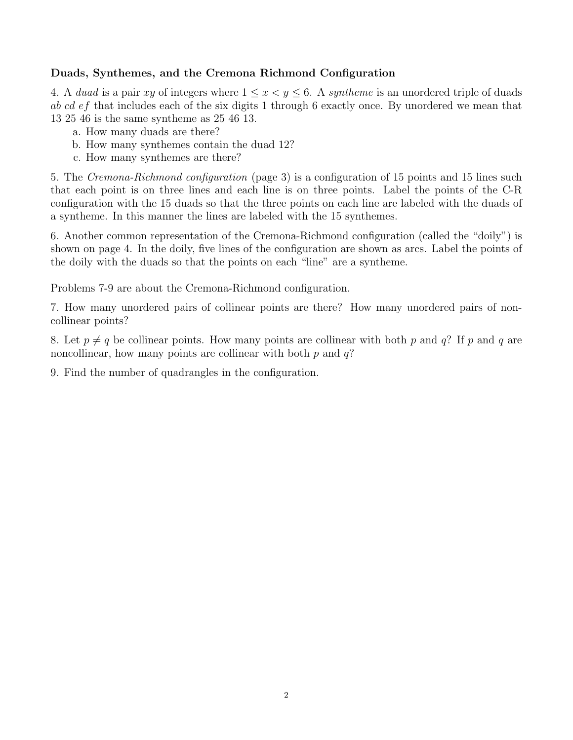### Duads, Synthemes, and the Cremona Richmond Configuration

4. A duad is a pair xy of integers where  $1 \leq x \leq y \leq 6$ . A syntheme is an unordered triple of duads ab cd ef that includes each of the six digits 1 through 6 exactly once. By unordered we mean that 13 25 46 is the same syntheme as 25 46 13.

- a. How many duads are there?
- b. How many synthemes contain the duad 12?
- c. How many synthemes are there?

5. The Cremona-Richmond configuration (page 3) is a configuration of 15 points and 15 lines such that each point is on three lines and each line is on three points. Label the points of the C-R configuration with the 15 duads so that the three points on each line are labeled with the duads of a syntheme. In this manner the lines are labeled with the 15 synthemes.

6. Another common representation of the Cremona-Richmond configuration (called the "doily") is shown on page 4. In the doily, five lines of the configuration are shown as arcs. Label the points of the doily with the duads so that the points on each "line" are a syntheme.

Problems 7-9 are about the Cremona-Richmond configuration.

7. How many unordered pairs of collinear points are there? How many unordered pairs of noncollinear points?

8. Let  $p \neq q$  be collinear points. How many points are collinear with both p and q? If p and q are noncollinear, how many points are collinear with both  $p$  and  $q$ ?

9. Find the number of quadrangles in the configuration.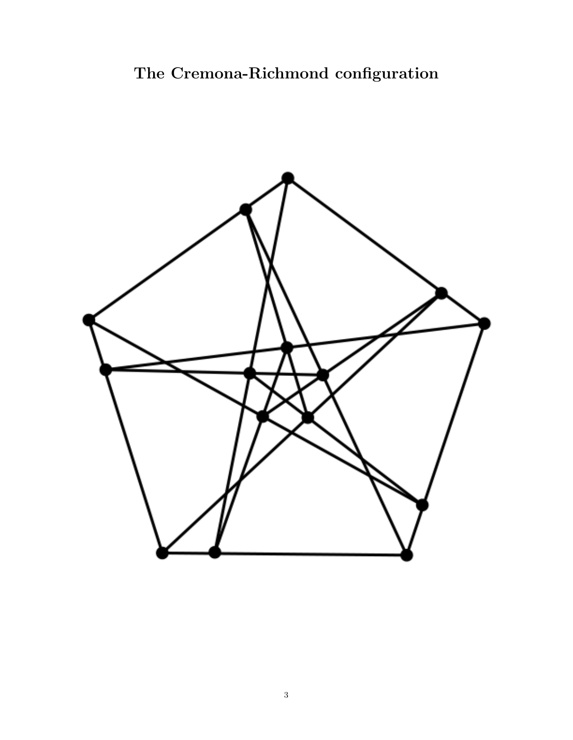# The Cremona-Richmond configuration